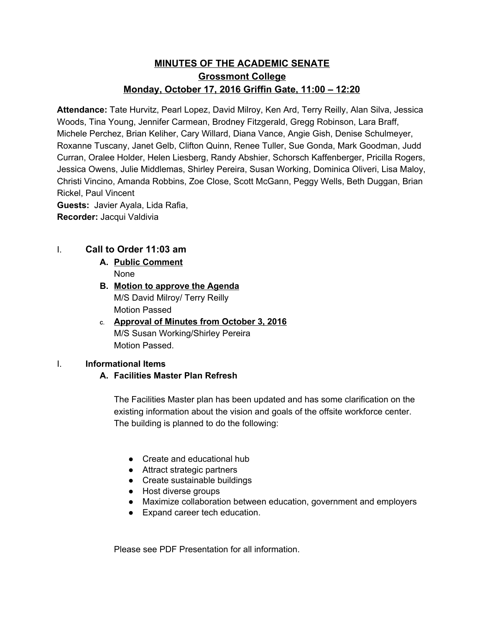# **MINUTES OF THE ACADEMIC SENATE Grossmont College Monday, October 17, 2016 Griffin Gate, 11:00 – 12:20**

**Attendance:** Tate Hurvitz, Pearl Lopez, David Milroy, Ken Ard, Terry Reilly, Alan Silva, Jessica Woods, Tina Young, Jennifer Carmean, Brodney Fitzgerald, Gregg Robinson, Lara Braff, Michele Perchez, Brian Keliher, Cary Willard, Diana Vance, Angie Gish, Denise Schulmeyer, Roxanne Tuscany, Janet Gelb, Clifton Quinn, Renee Tuller, Sue Gonda, Mark Goodman, Judd Curran, Oralee Holder, Helen Liesberg, Randy Abshier, Schorsch Kaffenberger, Pricilla Rogers, Jessica Owens, Julie Middlemas, Shirley Pereira, Susan Working, Dominica Oliveri, Lisa Maloy, Christi Vincino, Amanda Robbins, Zoe Close, Scott McGann, Peggy Wells, Beth Duggan, Brian Rickel, Paul Vincent

**Guests:**  Javier Ayala, Lida Rafia, **Recorder:** Jacqui Valdivia

## I. **Call to Order 11:03 am**

- **A. Public Comment** None
- **B. Motion to approve the Agenda** M/S David Milroy/ Terry Reilly Motion Passed
- **C. Approval of Minutes from October 3, 2016** M/S Susan Working/Shirley Pereira Motion Passed.

### I. **Informational Items**

#### **A. Facilities Master Plan Refresh**

The Facilities Master plan has been updated and has some clarification on the existing information about the vision and goals of the offsite workforce center. The building is planned to do the following:

- **●** Create and educational hub
- **●** Attract strategic partners
- **●** Create sustainable buildings
- **●** Host diverse groups
- **●** Maximize collaboration between education, government and employers
- **●** Expand career tech education.

Please see PDF Presentation for all information.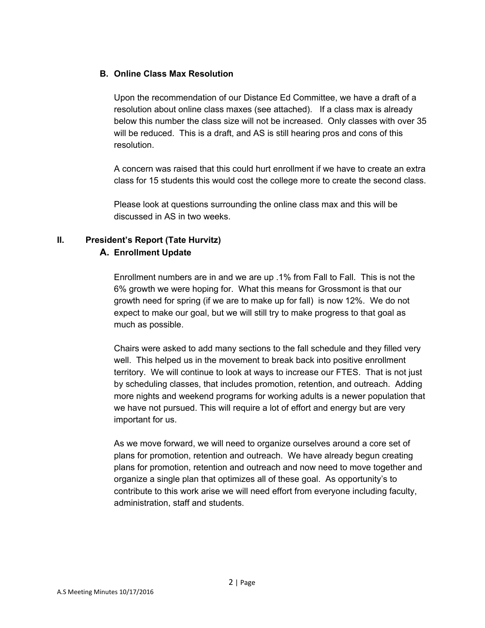#### **B. Online Class Max Resolution**

Upon the recommendation of our Distance Ed Committee, we have a draft of a resolution about online class maxes (see attached). If a class max is already below this number the class size will not be increased. Only classes with over 35 will be reduced. This is a draft, and AS is still hearing pros and cons of this resolution.

A concern was raised that this could hurt enrollment if we have to create an extra class for 15 students this would cost the college more to create the second class.

Please look at questions surrounding the online class max and this will be discussed in AS in two weeks.

# **II. President's Report (Tate Hurvitz)**

#### **A. Enrollment Update**

Enrollment numbers are in and we are up .1% from Fall to Fall. This is not the 6% growth we were hoping for. What this means for Grossmont is that our growth need for spring (if we are to make up for fall) is now 12%. We do not expect to make our goal, but we will still try to make progress to that goal as much as possible.

Chairs were asked to add many sections to the fall schedule and they filled very well. This helped us in the movement to break back into positive enrollment territory. We will continue to look at ways to increase our FTES. That is not just by scheduling classes, that includes promotion, retention, and outreach. Adding more nights and weekend programs for working adults is a newer population that we have not pursued. This will require a lot of effort and energy but are very important for us.

As we move forward, we will need to organize ourselves around a core set of plans for promotion, retention and outreach. We have already begun creating plans for promotion, retention and outreach and now need to move together and organize a single plan that optimizes all of these goal. As opportunity's to contribute to this work arise we will need effort from everyone including faculty, administration, staff and students.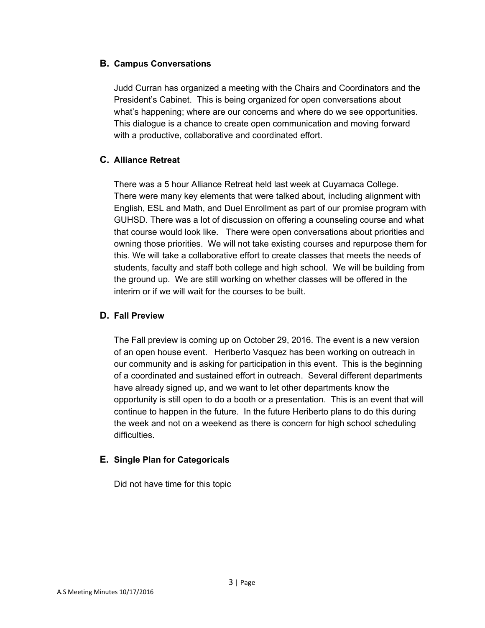### **B. Campus Conversations**

Judd Curran has organized a meeting with the Chairs and Coordinators and the President's Cabinet. This is being organized for open conversations about what's happening; where are our concerns and where do we see opportunities. This dialogue is a chance to create open communication and moving forward with a productive, collaborative and coordinated effort.

## **C. Alliance Retreat**

There was a 5 hour Alliance Retreat held last week at Cuyamaca College. There were many key elements that were talked about, including alignment with English, ESL and Math, and Duel Enrollment as part of our promise program with GUHSD. There was a lot of discussion on offering a counseling course and what that course would look like. There were open conversations about priorities and owning those priorities. We will not take existing courses and repurpose them for this. We will take a collaborative effort to create classes that meets the needs of students, faculty and staff both college and high school. We will be building from the ground up. We are still working on whether classes will be offered in the interim or if we will wait for the courses to be built.

## **D. Fall Preview**

The Fall preview is coming up on October 29, 2016. The event is a new version of an open house event. Heriberto Vasquez has been working on outreach in our community and is asking for participation in this event. This is the beginning of a coordinated and sustained effort in outreach. Several different departments have already signed up, and we want to let other departments know the opportunity is still open to do a booth or a presentation. This is an event that will continue to happen in the future. In the future Heriberto plans to do this during the week and not on a weekend as there is concern for high school scheduling difficulties.

### **E. Single Plan for Categoricals**

Did not have time for this topic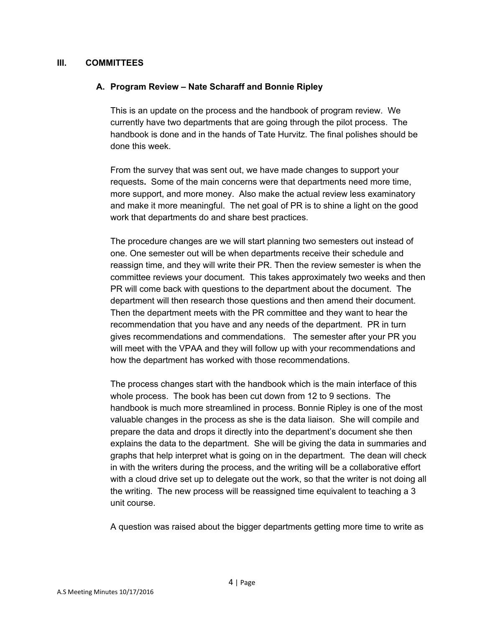#### **III. COMMITTEES**

#### **A. Program Review – Nate Scharaff and Bonnie Ripley**

This is an update on the process and the handbook of program review. We currently have two departments that are going through the pilot process. The handbook is done and in the hands of Tate Hurvitz. The final polishes should be done this week.

From the survey that was sent out, we have made changes to support your requests**.** Some of the main concerns were that departments need more time, more support, and more money. Also make the actual review less examinatory and make it more meaningful. The net goal of PR is to shine a light on the good work that departments do and share best practices.

The procedure changes are we will start planning two semesters out instead of one. One semester out will be when departments receive their schedule and reassign time, and they will write their PR. Then the review semester is when the committee reviews your document. This takes approximately two weeks and then PR will come back with questions to the department about the document. The department will then research those questions and then amend their document. Then the department meets with the PR committee and they want to hear the recommendation that you have and any needs of the department. PR in turn gives recommendations and commendations. The semester after your PR you will meet with the VPAA and they will follow up with your recommendations and how the department has worked with those recommendations.

The process changes start with the handbook which is the main interface of this whole process. The book has been cut down from 12 to 9 sections. The handbook is much more streamlined in process. Bonnie Ripley is one of the most valuable changes in the process as she is the data liaison. She will compile and prepare the data and drops it directly into the department's document she then explains the data to the department. She will be giving the data in summaries and graphs that help interpret what is going on in the department. The dean will check in with the writers during the process, and the writing will be a collaborative effort with a cloud drive set up to delegate out the work, so that the writer is not doing all the writing. The new process will be reassigned time equivalent to teaching a 3 unit course.

A question was raised about the bigger departments getting more time to write as